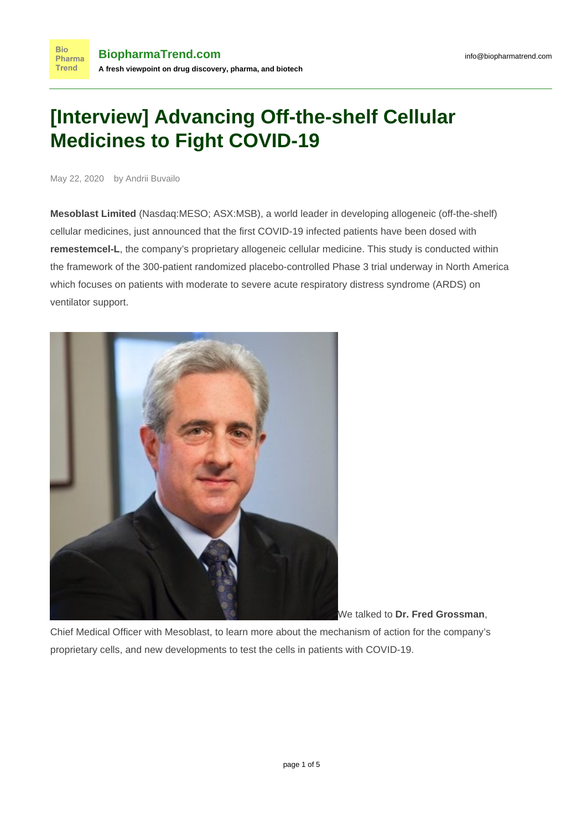# **[Interview] Advancing Off-the-shelf Cellular Medicines to Fight COVID-19**

May 22, 2020 by Andrii Buvailo

**Bio** 

**Trend** 

**Mesoblast Limited** (Nasdaq:MESO; ASX:MSB), a world leader in developing allogeneic (off-the-shelf) cellular medicines, just announced that the first COVID-19 infected patients have been dosed with **remestemcel-L**, the company's proprietary allogeneic cellular medicine. This study is conducted within the framework of the 300-patient randomized placebo-controlled Phase 3 trial underway in North America which focuses on patients with moderate to severe acute respiratory distress syndrome (ARDS) on ventilator support.



We talked to **Dr. Fred Grossman**,

Chief Medical Officer with Mesoblast, to learn more about the mechanism of action for the company's proprietary cells, and new developments to test the cells in patients with COVID-19.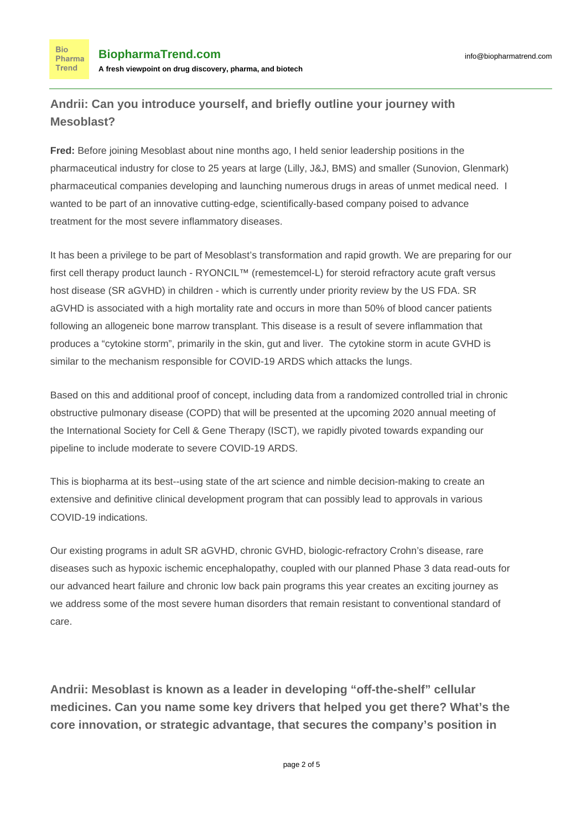**Bio** Pharma Trend

#### **Andrii: Can you introduce yourself, and briefly outline your journey with Mesoblast?**

**Fred:** Before joining Mesoblast about nine months ago, I held senior leadership positions in the pharmaceutical industry for close to 25 years at large (Lilly, J&J, BMS) and smaller (Sunovion, Glenmark) pharmaceutical companies developing and launching numerous drugs in areas of unmet medical need. I wanted to be part of an innovative cutting-edge, scientifically-based company poised to advance treatment for the most severe inflammatory diseases.

It has been a privilege to be part of Mesoblast's transformation and rapid growth. We are preparing for our first cell therapy product launch - RYONCIL™ (remestemcel-L) for steroid refractory acute graft versus host disease (SR aGVHD) in children - which is currently under priority review by the US FDA. SR aGVHD is associated with a high mortality rate and occurs in more than 50% of blood cancer patients following an allogeneic bone marrow transplant. This disease is a result of severe inflammation that produces a "cytokine storm", primarily in the skin, gut and liver. The cytokine storm in acute GVHD is similar to the mechanism responsible for COVID-19 ARDS which attacks the lungs.

Based on this and additional proof of concept, including data from a randomized controlled trial in chronic obstructive pulmonary disease (COPD) that will be presented at the upcoming 2020 annual meeting of the International Society for Cell & Gene Therapy (ISCT), we rapidly pivoted towards expanding our pipeline to include moderate to severe COVID-19 ARDS.

This is biopharma at its best--using state of the art science and nimble decision-making to create an extensive and definitive clinical development program that can possibly lead to approvals in various COVID-19 indications.

Our existing programs in adult SR aGVHD, chronic GVHD, biologic-refractory Crohn's disease, rare diseases such as hypoxic ischemic encephalopathy, coupled with our planned Phase 3 data read-outs for our advanced heart failure and chronic low back pain programs this year creates an exciting journey as we address some of the most severe human disorders that remain resistant to conventional standard of care.

**Andrii: Mesoblast is known as a leader in developing "off-the-shelf" cellular medicines. Can you name some key drivers that helped you get there? What's the core innovation, or strategic advantage, that secures the company's position in**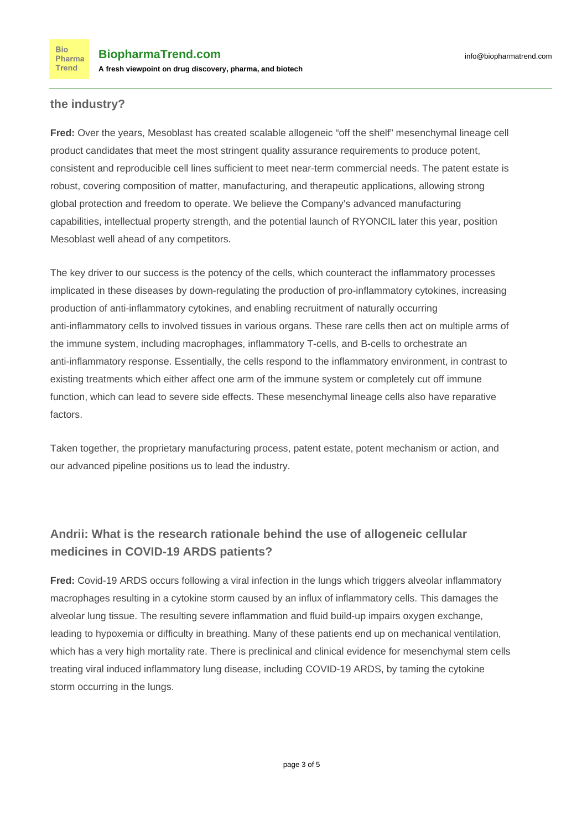#### **the industry?**

**Fred:** Over the years, Mesoblast has created scalable allogeneic "off the shelf" mesenchymal lineage cell product candidates that meet the most stringent quality assurance requirements to produce potent, consistent and reproducible cell lines sufficient to meet near-term commercial needs. The patent estate is robust, covering composition of matter, manufacturing, and therapeutic applications, allowing strong global protection and freedom to operate. We believe the Company's advanced manufacturing capabilities, intellectual property strength, and the potential launch of RYONCIL later this year, position Mesoblast well ahead of any competitors.

The key driver to our success is the potency of the cells, which counteract the inflammatory processes implicated in these diseases by down-regulating the production of pro-inflammatory cytokines, increasing production of anti-inflammatory cytokines, and enabling recruitment of naturally occurring anti-inflammatory cells to involved tissues in various organs. These rare cells then act on multiple arms of the immune system, including macrophages, inflammatory T-cells, and B-cells to orchestrate an anti-inflammatory response. Essentially, the cells respond to the inflammatory environment, in contrast to existing treatments which either affect one arm of the immune system or completely cut off immune function, which can lead to severe side effects. These mesenchymal lineage cells also have reparative factors.

Taken together, the proprietary manufacturing process, patent estate, potent mechanism or action, and our advanced pipeline positions us to lead the industry.

#### **Andrii: What is the research rationale behind the use of allogeneic cellular medicines in COVID-19 ARDS patients?**

**Fred:** Covid-19 ARDS occurs following a viral infection in the lungs which triggers alveolar inflammatory macrophages resulting in a cytokine storm caused by an influx of inflammatory cells. This damages the alveolar lung tissue. The resulting severe inflammation and fluid build-up impairs oxygen exchange, leading to hypoxemia or difficulty in breathing. Many of these patients end up on mechanical ventilation, which has a very high mortality rate. There is preclinical and clinical evidence for mesenchymal stem cells treating viral induced inflammatory lung disease, including COVID-19 ARDS, by taming the cytokine storm occurring in the lungs.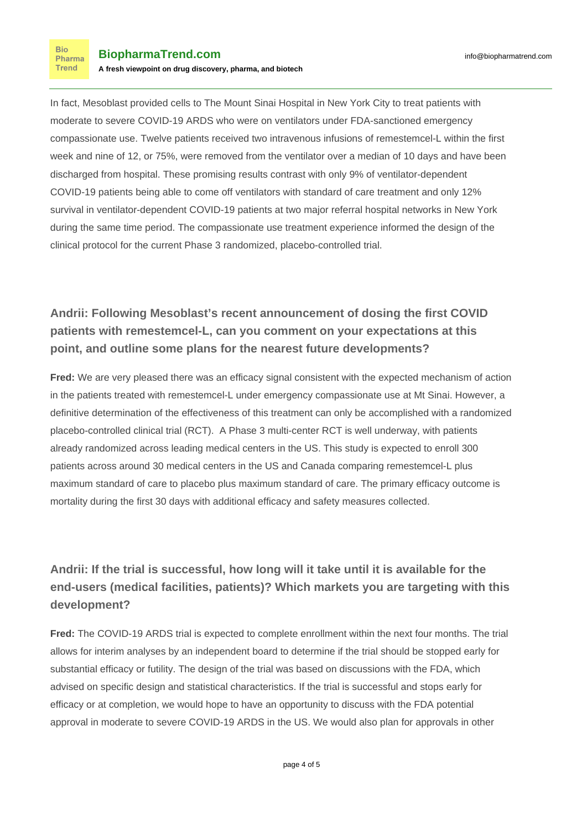**Bio** Pharma Trend

In fact, Mesoblast provided cells to The Mount Sinai Hospital in New York City to treat patients with moderate to severe COVID-19 ARDS who were on ventilators under FDA-sanctioned emergency compassionate use. Twelve patients received two intravenous infusions of remestemcel-L within the first week and nine of 12, or 75%, were removed from the ventilator over a median of 10 days and have been discharged from hospital. These promising results contrast with only 9% of ventilator-dependent COVID-19 patients being able to come off ventilators with standard of care treatment and only 12% survival in ventilator-dependent COVID-19 patients at two major referral hospital networks in New York during the same time period. The compassionate use treatment experience informed the design of the clinical protocol for the current Phase 3 randomized, placebo-controlled trial.

### **Andrii: Following Mesoblast's recent announcement of dosing the first COVID patients with remestemcel-L, can you comment on your expectations at this point, and outline some plans for the nearest future developments?**

**Fred:** We are very pleased there was an efficacy signal consistent with the expected mechanism of action in the patients treated with remestemcel-L under emergency compassionate use at Mt Sinai. However, a definitive determination of the effectiveness of this treatment can only be accomplished with a randomized placebo-controlled clinical trial (RCT). A Phase 3 multi-center RCT is well underway, with patients already randomized across leading medical centers in the US. This study is expected to enroll 300 patients across around 30 medical centers in the US and Canada comparing remestemcel-L plus maximum standard of care to placebo plus maximum standard of care. The primary efficacy outcome is mortality during the first 30 days with additional efficacy and safety measures collected.

## **Andrii: If the trial is successful, how long will it take until it is available for the end-users (medical facilities, patients)? Which markets you are targeting with this development?**

**Fred:** The COVID-19 ARDS trial is expected to complete enrollment within the next four months. The trial allows for interim analyses by an independent board to determine if the trial should be stopped early for substantial efficacy or futility. The design of the trial was based on discussions with the FDA, which advised on specific design and statistical characteristics. If the trial is successful and stops early for efficacy or at completion, we would hope to have an opportunity to discuss with the FDA potential approval in moderate to severe COVID-19 ARDS in the US. We would also plan for approvals in other